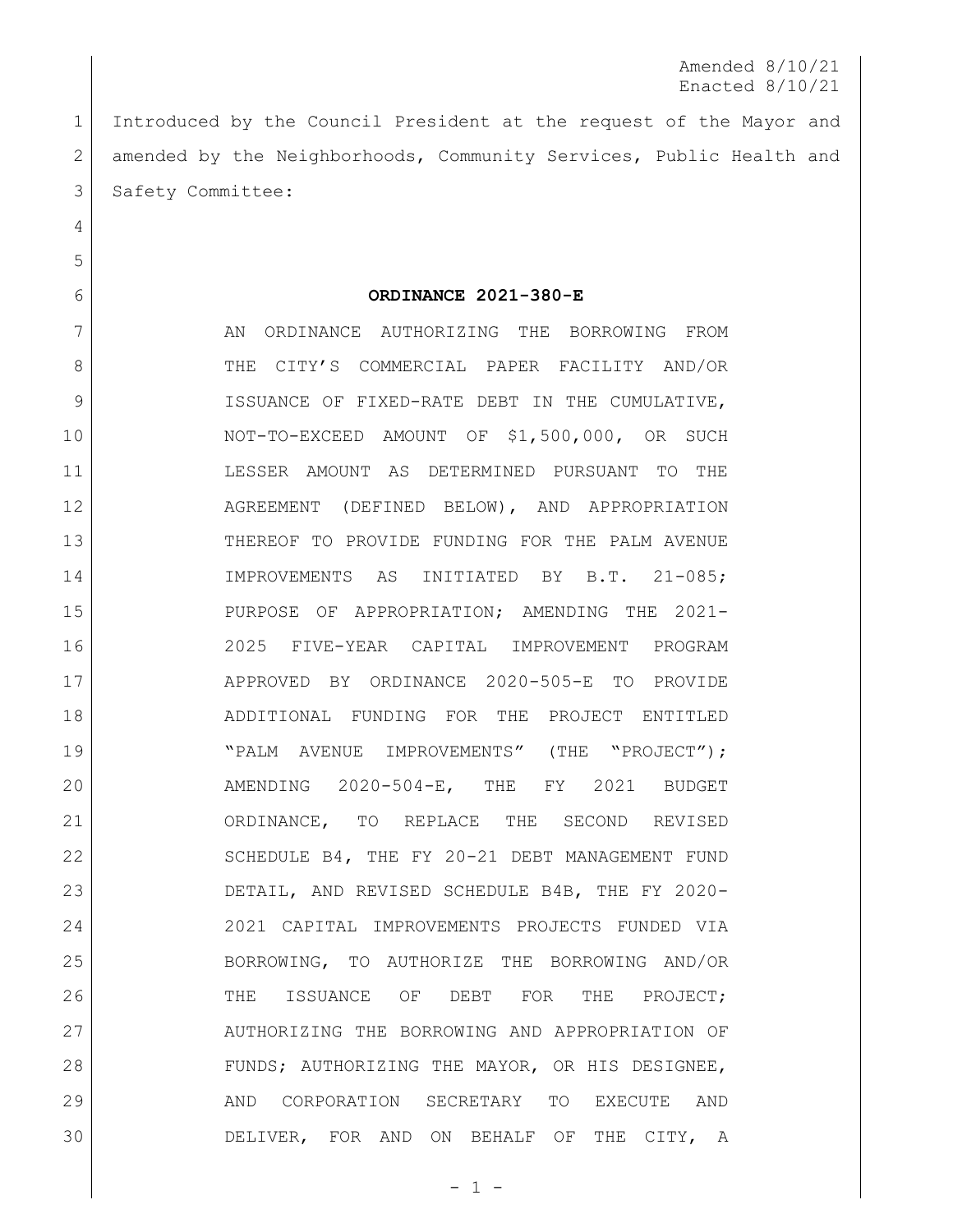Introduced by the Council President at the request of the Mayor and 2 amended by the Neighborhoods, Community Services, Public Health and 3 Safety Committee:

## **ORDINANCE 2021-380-E**

7 AN ORDINANCE AUTHORIZING THE BORROWING FROM 8 THE CITY'S COMMERCIAL PAPER FACILITY AND/OR 9 ISSUANCE OF FIXED-RATE DEBT IN THE CUMULATIVE, NOT-TO-EXCEED AMOUNT OF \$1,500,000, OR SUCH LESSER AMOUNT AS DETERMINED PURSUANT TO THE AGREEMENT (DEFINED BELOW), AND APPROPRIATION THEREOF TO PROVIDE FUNDING FOR THE PALM AVENUE IMPROVEMENTS AS INITIATED BY B.T. 21-085; PURPOSE OF APPROPRIATION; AMENDING THE 2021- 2025 FIVE-YEAR CAPITAL IMPROVEMENT PROGRAM APPROVED BY ORDINANCE 2020-505-E TO PROVIDE ADDITIONAL FUNDING FOR THE PROJECT ENTITLED 19 | THE "PALM AVENUE IMPROVEMENTS" (THE "PROJECT"); AMENDING 2020-504-E, THE FY 2021 BUDGET ORDINANCE, TO REPLACE THE SECOND REVISED 22 SCHEDULE B4, THE FY 20-21 DEBT MANAGEMENT FUND DETAIL, AND REVISED SCHEDULE B4B, THE FY 2020- 2021 CAPITAL IMPROVEMENTS PROJECTS FUNDED VIA BORROWING, TO AUTHORIZE THE BORROWING AND/OR 26 THE ISSUANCE OF DEBT FOR THE PROJECT; AUTHORIZING THE BORROWING AND APPROPRIATION OF 28 FUNDS; AUTHORIZING THE MAYOR, OR HIS DESIGNEE, AND CORPORATION SECRETARY TO EXECUTE AND DELIVER, FOR AND ON BEHALF OF THE CITY, A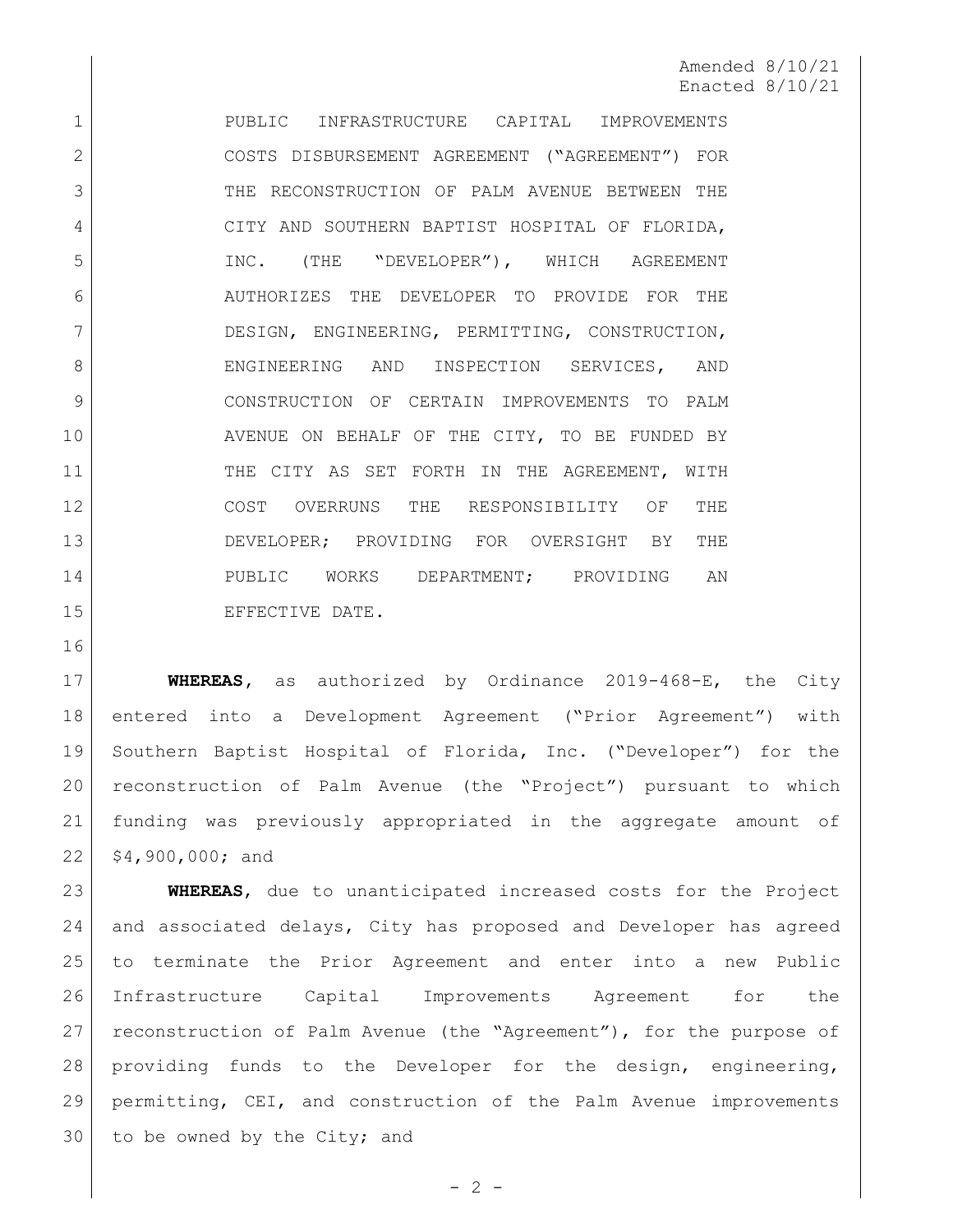1 PUBLIC INFRASTRUCTURE CAPITAL IMPROVEMENTS COSTS DISBURSEMENT AGREEMENT ("AGREEMENT") FOR THE RECONSTRUCTION OF PALM AVENUE BETWEEN THE 4 CITY AND SOUTHERN BAPTIST HOSPITAL OF FLORIDA, INC. (THE "DEVELOPER"), WHICH AGREEMENT AUTHORIZES THE DEVELOPER TO PROVIDE FOR THE DESIGN, ENGINEERING, PERMITTING, CONSTRUCTION, 8 BNGINEERING AND INSPECTION SERVICES, AND CONSTRUCTION OF CERTAIN IMPROVEMENTS TO PALM 10 AVENUE ON BEHALF OF THE CITY, TO BE FUNDED BY 11 THE CITY AS SET FORTH IN THE AGREEMENT, WITH COST OVERRUNS THE RESPONSIBILITY OF THE DEVELOPER; PROVIDING FOR OVERSIGHT BY THE 14 PUBLIC WORKS DEPARTMENT; PROVIDING AN 15 EFFECTIVE DATE.

 **WHEREAS,** as authorized by Ordinance 2019-468-E, the City entered into a Development Agreement ("Prior Agreement") with Southern Baptist Hospital of Florida, Inc. ("Developer") for the reconstruction of Palm Avenue (the "Project") pursuant to which funding was previously appropriated in the aggregate amount of  $22 | 54,900,000;$  and

 **WHEREAS**, due to unanticipated increased costs for the Project 24 and associated delays, City has proposed and Developer has agreed to terminate the Prior Agreement and enter into a new Public Infrastructure Capital Improvements Agreement for the reconstruction of Palm Avenue (the "Agreement"), for the purpose of providing funds to the Developer for the design, engineering, permitting, CEI, and construction of the Palm Avenue improvements 30 to be owned by the City; and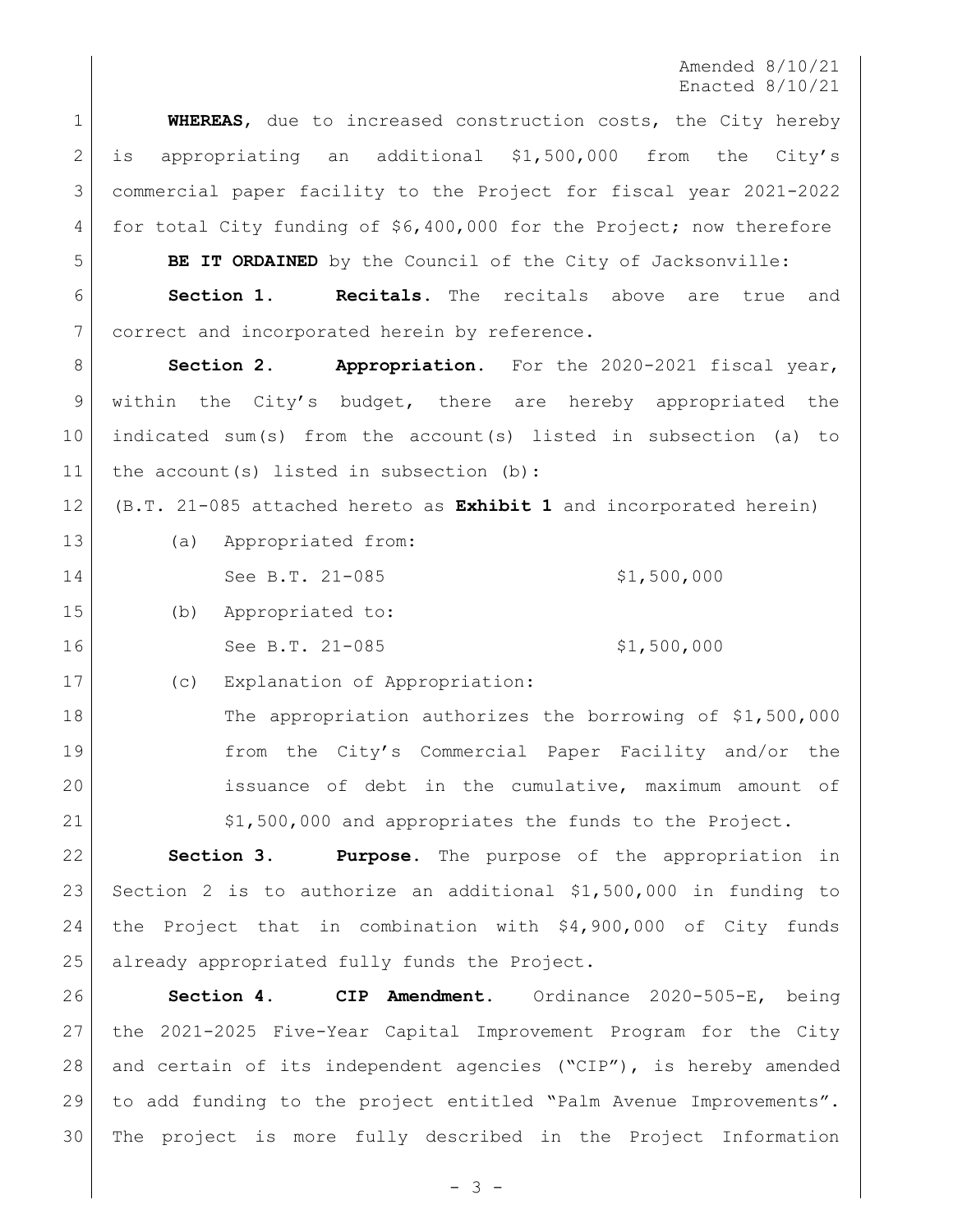**WHEREAS**, due to increased construction costs, the City hereby is appropriating an additional \$1,500,000 from the City's commercial paper facility to the Project for fiscal year 2021-2022 for total City funding of \$6,400,000 for the Project; now therefore

**BE IT ORDAINED** by the Council of the City of Jacksonville:

 **Section 1. Recitals.** The recitals above are true and correct and incorporated herein by reference.

**Section 2. Appropriation.** For the 2020-2021 fiscal year, 9 within the City's budget, there are hereby appropriated the indicated sum(s) from the account(s) listed in subsection (a) to 11 the account(s) listed in subsection (b):

(B.T. 21-085 attached hereto as **Exhibit 1** and incorporated herein)

 (a) Appropriated from: 14 See B.T. 21-085 \$1,500,000 (b) Appropriated to: 16 See B.T. 21-085 \$1,500,000

(c) Explanation of Appropriation:

18 The appropriation authorizes the borrowing of \$1,500,000 from the City's Commercial Paper Facility and/or the 20 issuance of debt in the cumulative, maximum amount of \$1,500,000 and appropriates the funds to the Project.

 **Section 3. Purpose.** The purpose of the appropriation in Section 2 is to authorize an additional \$1,500,000 in funding to the Project that in combination with \$4,900,000 of City funds 25 already appropriated fully funds the Project.

 **Section 4. CIP Amendment**. Ordinance 2020-505-E, being the 2021-2025 Five-Year Capital Improvement Program for the City and certain of its independent agencies ("CIP"), is hereby amended to add funding to the project entitled "Palm Avenue Improvements". The project is more fully described in the Project Information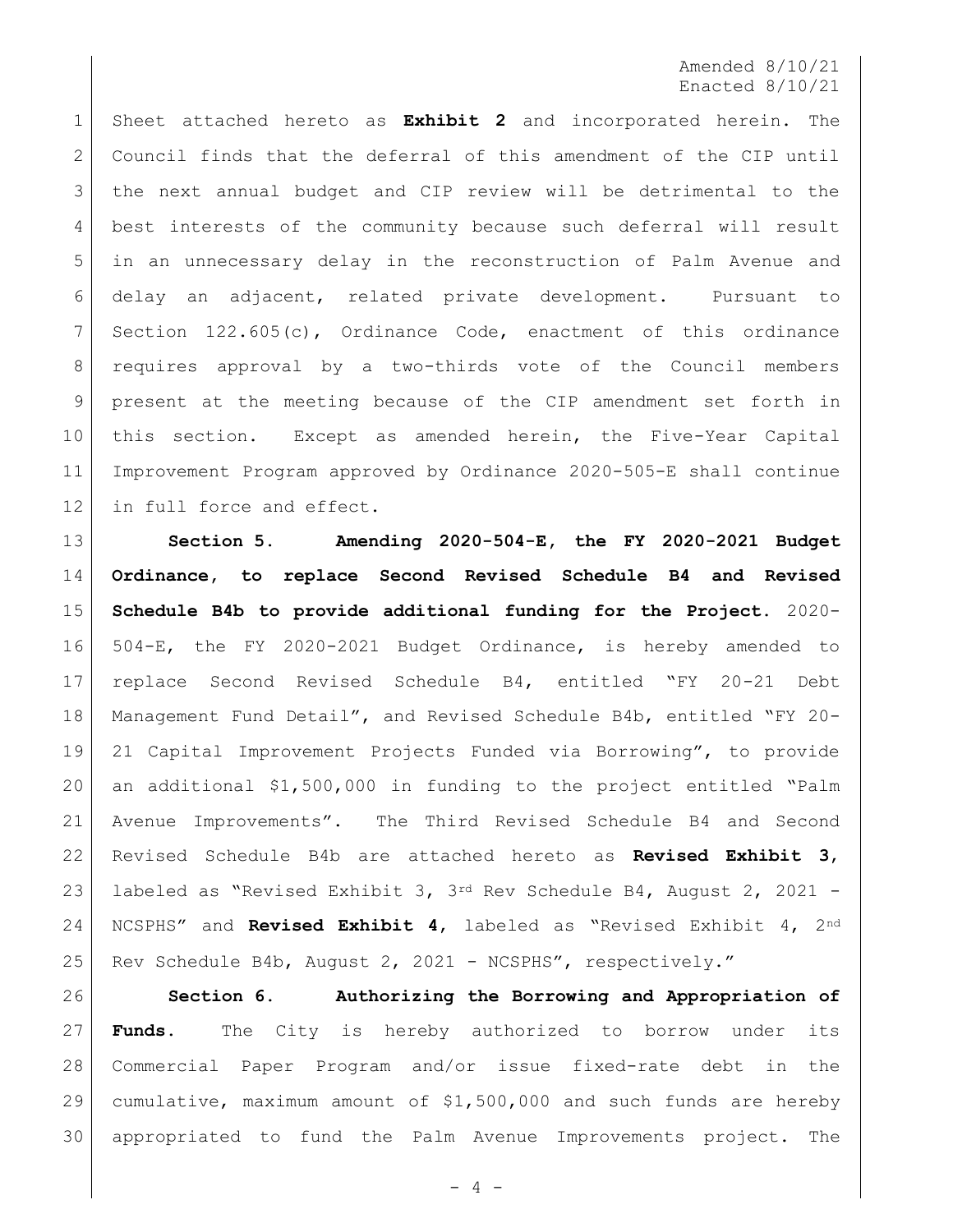Sheet attached hereto as **Exhibit 2** and incorporated herein. The Council finds that the deferral of this amendment of the CIP until the next annual budget and CIP review will be detrimental to the best interests of the community because such deferral will result in an unnecessary delay in the reconstruction of Palm Avenue and delay an adjacent, related private development. Pursuant to Section 122.605(c), Ordinance Code, enactment of this ordinance 8 | requires approval by a two-thirds vote of the Council members present at the meeting because of the CIP amendment set forth in this section. Except as amended herein, the Five-Year Capital Improvement Program approved by Ordinance 2020-505-E shall continue 12 in full force and effect.

 **Section 5. Amending 2020-504-E, the FY 2020-2021 Budget Ordinance, to replace Second Revised Schedule B4 and Revised Schedule B4b to provide additional funding for the Project.** 2020- 504-E, the FY 2020-2021 Budget Ordinance, is hereby amended to replace Second Revised Schedule B4, entitled "FY 20-21 Debt Management Fund Detail", and Revised Schedule B4b, entitled "FY 20- 21 Capital Improvement Projects Funded via Borrowing", to provide an additional \$1,500,000 in funding to the project entitled "Palm Avenue Improvements". The Third Revised Schedule B4 and Second Revised Schedule B4b are attached hereto as **Revised Exhibit 3**, 23 | labeled as "Revised Exhibit 3,  $3^{rd}$  Rev Schedule B4, August 2, 2021 - NCSPHS" and **Revised Exhibit 4**, labeled as "Revised Exhibit 4, 2nd 25 Rev Schedule B4b, August 2, 2021 - NCSPHS", respectively."

 **Section 6. Authorizing the Borrowing and Appropriation of Funds.** The City is hereby authorized to borrow under its Commercial Paper Program and/or issue fixed-rate debt in the cumulative, maximum amount of \$1,500,000 and such funds are hereby appropriated to fund the Palm Avenue Improvements project. The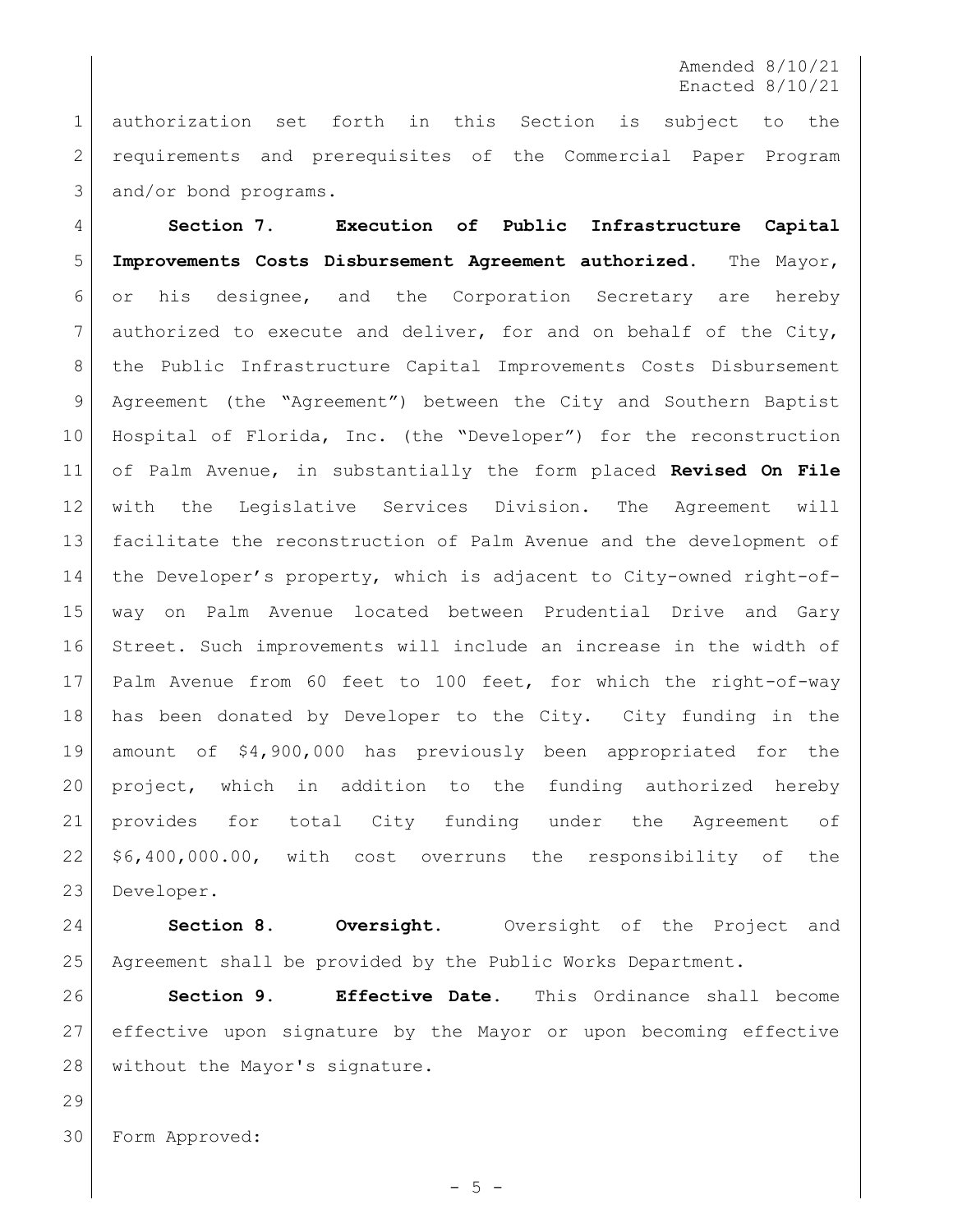authorization set forth in this Section is subject to the requirements and prerequisites of the Commercial Paper Program 3 and/or bond programs.

 **Section 7. Execution of Public Infrastructure Capital Improvements Costs Disbursement Agreement authorized**. The Mayor, or his designee, and the Corporation Secretary are hereby authorized to execute and deliver, for and on behalf of the City, 8 | the Public Infrastructure Capital Improvements Costs Disbursement Agreement (the "Agreement") between the City and Southern Baptist Hospital of Florida, Inc. (the "Developer") for the reconstruction of Palm Avenue, in substantially the form placed **Revised On File**  with the Legislative Services Division. The Agreement will facilitate the reconstruction of Palm Avenue and the development of the Developer's property, which is adjacent to City-owned right-of- way on Palm Avenue located between Prudential Drive and Gary Street. Such improvements will include an increase in the width of Palm Avenue from 60 feet to 100 feet, for which the right-of-way has been donated by Developer to the City. City funding in the amount of \$4,900,000 has previously been appropriated for the project, which in addition to the funding authorized hereby provides for total City funding under the Agreement of \$6,400,000.00, with cost overruns the responsibility of the Developer.

 **Section 8. Oversight.** Oversight of the Project and Agreement shall be provided by the Public Works Department.

 **Section 9. Effective Date.** This Ordinance shall become effective upon signature by the Mayor or upon becoming effective without the Mayor's signature.

Form Approved: